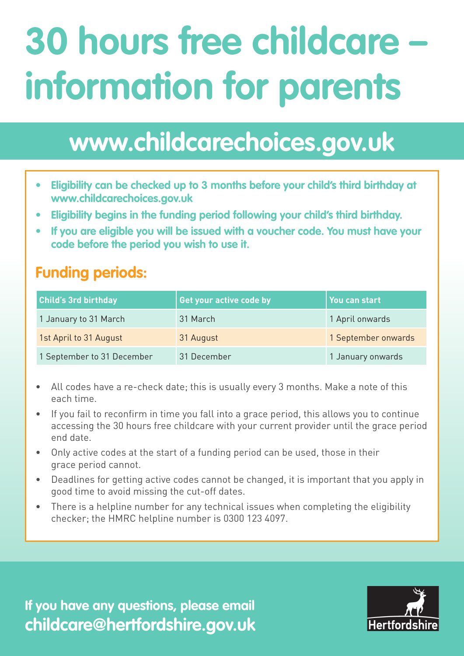## **30 hours free childcare – information for parents**

## **www.childcarechoices.gov.uk**

- **• Eligibility can be checked up to 3 months before your child's third birthday at www.childcarechoices.gov.uk**
- **• Eligibility begins in the funding period following your child's third birthday.**
- **• If you are eligible you will be issued with a voucher code. You must have your code before the period you wish to use it.**

## **Funding periods:**

| <b>Child's 3rd birthday</b> | Get your active code by | You can start       |
|-----------------------------|-------------------------|---------------------|
| 1 January to 31 March       | 31 March                | 1 April onwards     |
| 1st April to 31 August      | 31 August               | 1 September onwards |
| 1 September to 31 December  | 31 December             | 1 January onwards   |

- All codes have a re-check date; this is usually every 3 months. Make a note of this each time.
- If you fail to reconfirm in time you fall into a grace period, this allows you to continue accessing the 30 hours free childcare with your current provider until the grace period end date.
- Only active codes at the start of a funding period can be used, those in their grace period cannot.
- Deadlines for getting active codes cannot be changed, it is important that you apply in good time to avoid missing the cut-off dates.
- There is a helpline number for any technical issues when completing the eligibility checker; the HMRC helpline number is 0300 123 4097.